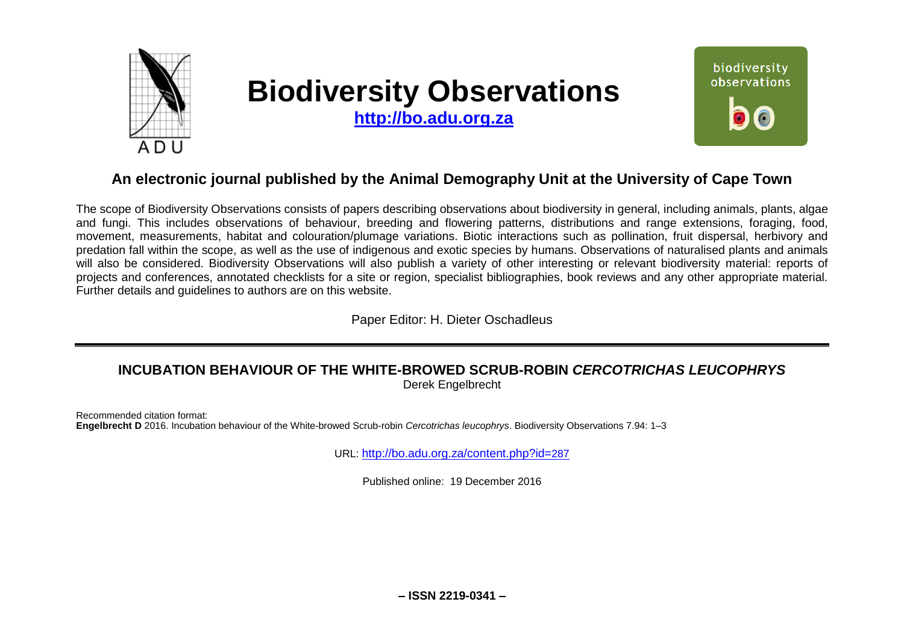

# **Biodiversity Observations**

**[http://bo.adu.org.za](http://bo.adu.org.za/)**



### **An electronic journal published by the Animal Demography Unit at the University of Cape Town**

The scope of Biodiversity Observations consists of papers describing observations about biodiversity in general, including animals, plants, algae and fungi. This includes observations of behaviour, breeding and flowering patterns, distributions and range extensions, foraging, food, movement, measurements, habitat and colouration/plumage variations. Biotic interactions such as pollination, fruit dispersal, herbivory and predation fall within the scope, as well as the use of indigenous and exotic species by humans. Observations of naturalised plants and animals will also be considered. Biodiversity Observations will also publish a variety of other interesting or relevant biodiversity material: reports of projects and conferences, annotated checklists for a site or region, specialist bibliographies, book reviews and any other appropriate material. Further details and guidelines to authors are on this website.

Paper Editor: H. Dieter Oschadleus

## **INCUBATION BEHAVIOUR OF THE WHITE-BROWED SCRUB-ROBIN** *CERCOTRICHAS LEUCOPHRYS*

Derek Engelbrecht

Recommended citation format: **Engelbrecht D** 2016. Incubation behaviour of the White-browed Scrub-robin *Cercotrichas leucophrys*. Biodiversity Observations 7.94: 1–3

URL: [http://bo.adu.org.za/content.php?id=](http://bo.adu.org.za/content.php?id=287)287

Published online: 19 December 2016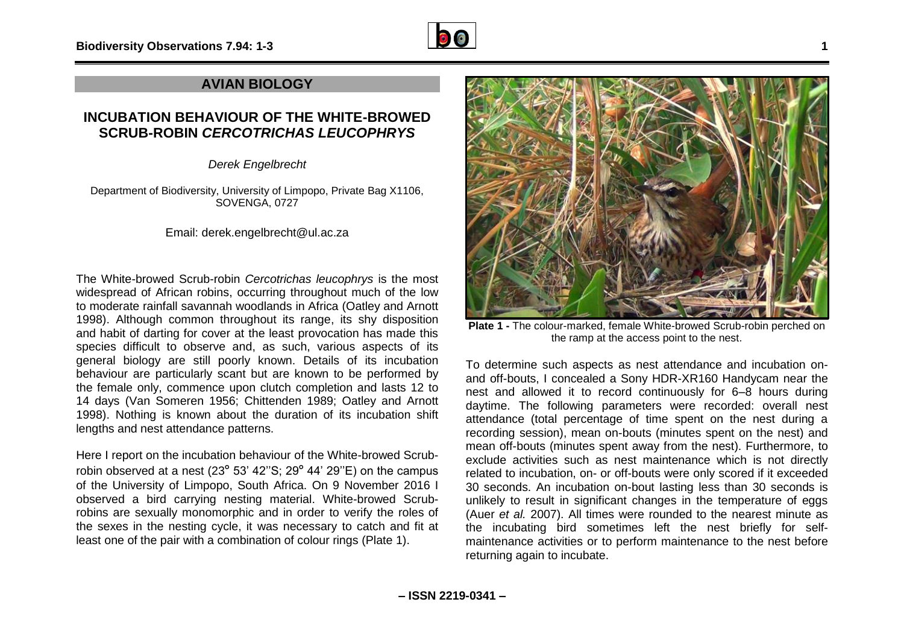

#### **AVIAN BIOLOGY**

#### **INCUBATION BEHAVIOUR OF THE WHITE-BROWED SCRUB-ROBIN** *CERCOTRICHAS LEUCOPHRYS*

*Derek Engelbrecht*

Department of Biodiversity, University of Limpopo, Private Bag X1106, SOVENGA, 0727

Email: derek.engelbrecht@ul.ac.za

The White-browed Scrub-robin *Cercotrichas leucophrys* is the most widespread of African robins, occurring throughout much of the low to moderate rainfall savannah woodlands in Africa (Oatley and Arnott 1998). Although common throughout its range, its shy disposition and habit of darting for cover at the least provocation has made this species difficult to observe and, as such, various aspects of its general biology are still poorly known. Details of its incubation behaviour are particularly scant but are known to be performed by the female only, commence upon clutch completion and lasts 12 to 14 days (Van Someren 1956; Chittenden 1989; Oatley and Arnott 1998). Nothing is known about the duration of its incubation shift lengths and nest attendance patterns.

Here I report on the incubation behaviour of the White-browed Scrubrobin observed at a nest (23° 53' 42''S; 29° 44' 29''E) on the campus of the University of Limpopo, South Africa. On 9 November 2016 I observed a bird carrying nesting material. White-browed Scrubrobins are sexually monomorphic and in order to verify the roles of the sexes in the nesting cycle, it was necessary to catch and fit at least one of the pair with a combination of colour rings (Plate 1).



**Plate 1 -** The colour-marked, female White-browed Scrub-robin perched on the ramp at the access point to the nest.

To determine such aspects as nest attendance and incubation onand off-bouts, I concealed a Sony HDR-XR160 Handycam near the nest and allowed it to record continuously for 6–8 hours during daytime. The following parameters were recorded: overall nest attendance (total percentage of time spent on the nest during a recording session), mean on-bouts (minutes spent on the nest) and mean off-bouts (minutes spent away from the nest). Furthermore, to exclude activities such as nest maintenance which is not directly related to incubation, on- or off-bouts were only scored if it exceeded 30 seconds. An incubation on-bout lasting less than 30 seconds is unlikely to result in significant changes in the temperature of eggs (Auer *et al.* 2007). All times were rounded to the nearest minute as the incubating bird sometimes left the nest briefly for selfmaintenance activities or to perform maintenance to the nest before returning again to incubate.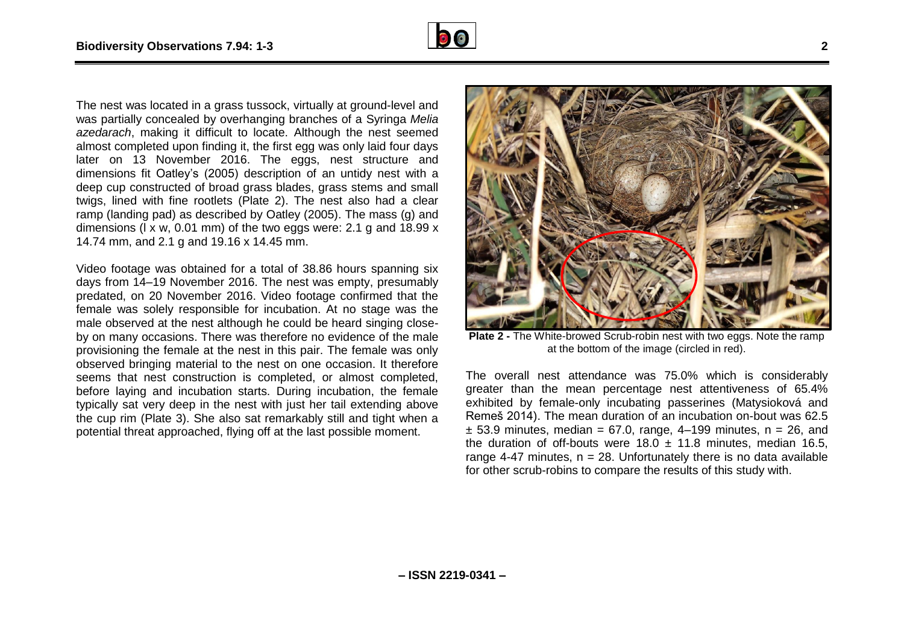

The nest was located in a grass tussock, virtually at ground-level and was partially concealed by overhanging branches of a Syringa *Melia azedarach*, making it difficult to locate. Although the nest seemed almost completed upon finding it, the first egg was only laid four days later on 13 November 2016. The eggs, nest structure and dimensions fit Oatley's (2005) description of an untidy nest with a deep cup constructed of broad grass blades, grass stems and small twigs, lined with fine rootlets (Plate 2). The nest also had a clear ramp (landing pad) as described by Oatley (2005). The mass (g) and dimensions (l x w, 0.01 mm) of the two eggs were: 2.1 g and 18.99 x 14.74 mm, and 2.1 g and 19.16 x 14.45 mm.

Video footage was obtained for a total of 38.86 hours spanning six days from 14–19 November 2016. The nest was empty, presumably predated, on 20 November 2016. Video footage confirmed that the female was solely responsible for incubation. At no stage was the male observed at the nest although he could be heard singing closeby on many occasions. There was therefore no evidence of the male provisioning the female at the nest in this pair. The female was only observed bringing material to the nest on one occasion. It therefore seems that nest construction is completed, or almost completed, before laying and incubation starts. During incubation, the female typically sat very deep in the nest with just her tail extending above the cup rim (Plate 3). She also sat remarkably still and tight when a potential threat approached, flying off at the last possible moment.



**Plate 2 -** The White-browed Scrub-robin nest with two eggs. Note the ramp at the bottom of the image (circled in red).

The overall nest attendance was 75.0% which is considerably greater than the mean percentage nest attentiveness of 65.4% exhibited by female-only incubating passerines (Matysioková and Remeš 2014). The mean duration of an incubation on-bout was 62.5  $\pm$  53.9 minutes, median = 67.0, range, 4–199 minutes, n = 26, and the duration of off-bouts were  $18.0 \pm 11.8$  minutes, median 16.5, range 4-47 minutes,  $n = 28$ . Unfortunately there is no data available for other scrub-robins to compare the results of this study with.